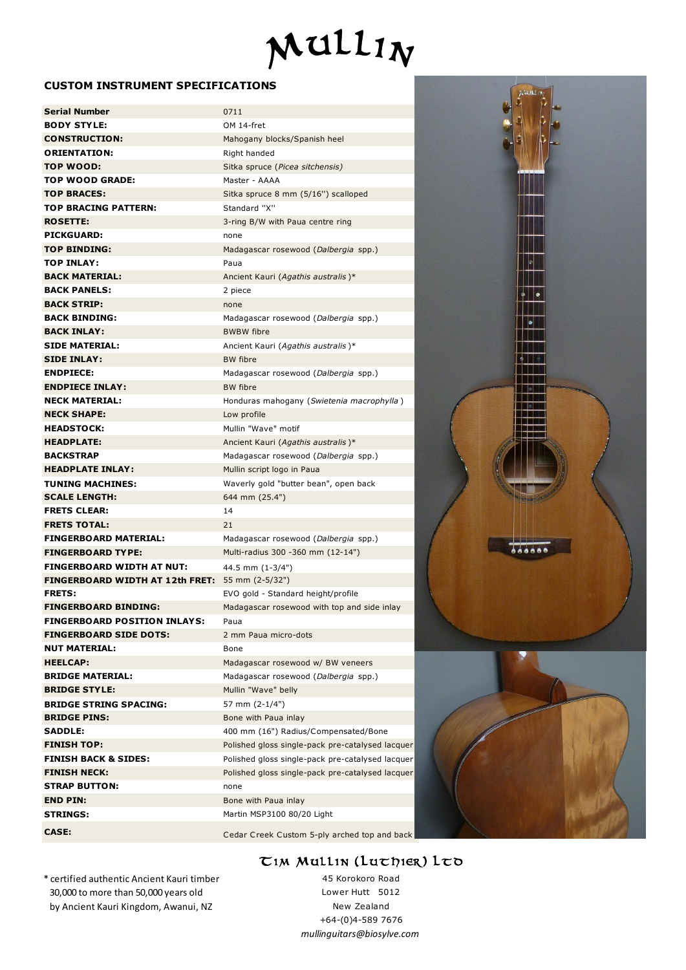

## **CUSTOM INSTRUMENT SPECIFICATIONS**

| <b>CUSTOM INSTRUMENT SPECIFICATIONS</b> |                                                  |
|-----------------------------------------|--------------------------------------------------|
| <b>Serial Number</b>                    | 0711                                             |
| <b>BODY STYLE:</b>                      | OM 14-fret                                       |
| <b>CONSTRUCTION:</b>                    | Mahogany blocks/Spanish heel                     |
| <b>ORIENTATION:</b>                     | Right handed                                     |
| TOP WOOD:                               | Sitka spruce (Picea sitchensis)                  |
| <b>TOP WOOD GRADE:</b>                  | Master - AAAA                                    |
| <b>TOP BRACES:</b>                      | Sitka spruce 8 mm (5/16") scalloped              |
| <b>TOP BRACING PATTERN:</b>             | Standard "X"                                     |
| <b>ROSETTE:</b>                         | 3-ring B/W with Paua centre ring                 |
| <b>PICKGUARD:</b>                       | none                                             |
| <b>TOP BINDING:</b>                     | Madagascar rosewood (Dalbergia spp.)             |
| <b>TOP INLAY:</b>                       | Paua                                             |
| <b>BACK MATERIAL:</b>                   | Ancient Kauri (Agathis australis)*               |
| <b>BACK PANELS:</b>                     | 2 piece                                          |
| <b>BACK STRIP:</b>                      | none                                             |
| <b>BACK BINDING:</b>                    | Madagascar rosewood (Dalbergia spp.)             |
| <b>BACK INLAY:</b>                      | <b>BWBW</b> fibre                                |
| <b>SIDE MATERIAL:</b>                   | Ancient Kauri (Agathis australis)*               |
| <b>SIDE INLAY:</b>                      | <b>BW</b> fibre                                  |
| <b>ENDPIECE:</b>                        | Madagascar rosewood (Dalbergia spp.)             |
| <b>ENDPIECE INLAY:</b>                  | <b>BW</b> fibre                                  |
| <b>NECK MATERIAL:</b>                   | Honduras mahogany (Swietenia macrophylla)        |
| <b>NECK SHAPE:</b>                      | Low profile                                      |
| <b>HEADSTOCK:</b>                       | Mullin "Wave" motif                              |
| <b>HEADPLATE:</b>                       | Ancient Kauri (Agathis australis)*               |
| <b>BACKSTRAP</b>                        | Madagascar rosewood (Dalbergia spp.)             |
| <b>HEADPLATE INLAY:</b>                 | Mullin script logo in Paua                       |
| <b>TUNING MACHINES:</b>                 | Waverly gold "butter bean", open back            |
| <b>SCALE LENGTH:</b>                    | 644 mm (25.4")                                   |
| <b>FRETS CLEAR:</b>                     | 14                                               |
| <b>FRETS TOTAL:</b>                     | 21                                               |
| <b>FINGERBOARD MATERIAL:</b>            | Madagascar rosewood (Dalbergia spp.)             |
| <b>FINGERBOARD TYPE:</b>                | Multi-radius 300 -360 mm (12-14")                |
| <b>FINGERBOARD WIDTH AT NUT:</b>        | 44.5 mm (1-3/4")                                 |
| <b>FINGERBOARD WIDTH AT 12th FRET:</b>  | 55 mm (2-5/32")                                  |
| <b>FRETS:</b>                           | EVO gold - Standard height/profile               |
| <b>FINGERBOARD BINDING:</b>             | Madagascar rosewood with top and side inlay      |
| <b>FINGERBOARD POSITION INLAYS:</b>     | Paua                                             |
| <b>FINGERBOARD SIDE DOTS:</b>           | 2 mm Paua micro-dots                             |
| <b>NUT MATERIAL:</b>                    | Bone                                             |
| <b>HEELCAP:</b>                         | Madagascar rosewood w/ BW veneers                |
| <b>BRIDGE MATERIAL:</b>                 | Madagascar rosewood (Dalbergia spp.)             |
| <b>BRIDGE STYLE:</b>                    | Mullin "Wave" belly                              |
| <b>BRIDGE STRING SPACING:</b>           | 57 mm (2-1/4")                                   |
| <b>BRIDGE PINS:</b>                     | Bone with Paua inlay                             |
| <b>SADDLE:</b>                          | 400 mm (16") Radius/Compensated/Bone             |
| <b>FINISH TOP:</b>                      | Polished gloss single-pack pre-catalysed lacquer |
| <b>FINISH BACK &amp; SIDES:</b>         | Polished gloss single-pack pre-catalysed lacquer |
| <b>FINISH NECK:</b>                     | Polished gloss single-pack pre-catalysed lacquer |
| <b>STRAP BUTTON:</b>                    | none                                             |
| <b>END PIN:</b>                         | Bone with Paua inlay                             |
| <b>STRINGS:</b>                         | Martin MSP3100 80/20 Light                       |
| CASE:                                   | Cedar Creek Custom 5-ply arched top and back     |
|                                         |                                                  |





\* certified authentic Ancient Kauri timber 30,000 to more than 50,000 years old by Ancient Kauri Kingdom, Awanui, NZ

+64-(0)4-589 7676 *mullinguitars@biosylve.com*  $CM$  Mullin (Luthier) Ltd<br>
45 Korokoro Road<br>
Lower Hutt 5012<br>
New Zealand<br>  $+64(0)4.589 7676$ 45 Korokoro Road Lower Hutt 5012